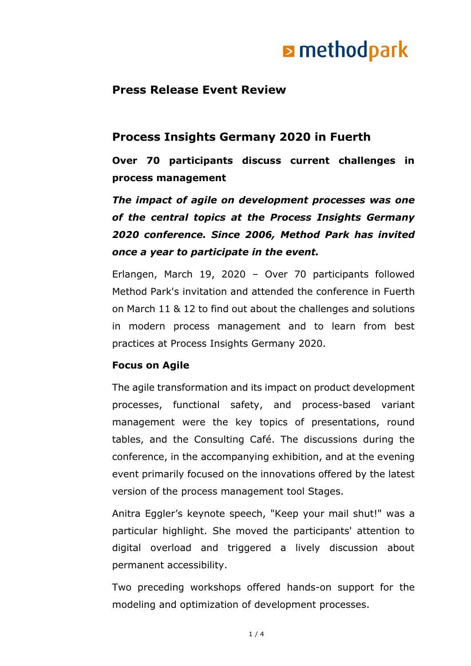# **E** methodpark

## **Press Release Event Review**

## **Process Insights Germany 2020 in Fuerth**

**Over 70 participants discuss current challenges in process management**

*The impact of agile on development processes was one of the central topics at the Process Insights Germany 2020 conference. Since 2006, Method Park has invited once a year to participate in the event.*

Erlangen, March 19, 2020 – Over 70 participants followed Method Park's invitation and attended the conference in Fuerth on March 11 & 12 to find out about the challenges and solutions in modern process management and to learn from best practices at Process Insights Germany 2020.

#### **Focus on Agile**

The agile transformation and its impact on product development processes, functional safety, and process-based variant management were the key topics of presentations, round tables, and the Consulting Café. The discussions during the conference, in the accompanying exhibition, and at the evening event primarily focused on the innovations offered by the latest version of the process management tool Stages.

Anitra Eggler's keynote speech, "Keep your mail shut!" was a particular highlight. She moved the participants' attention to digital overload and triggered a lively discussion about permanent accessibility.

Two preceding workshops offered hands-on support for the modeling and optimization of development processes.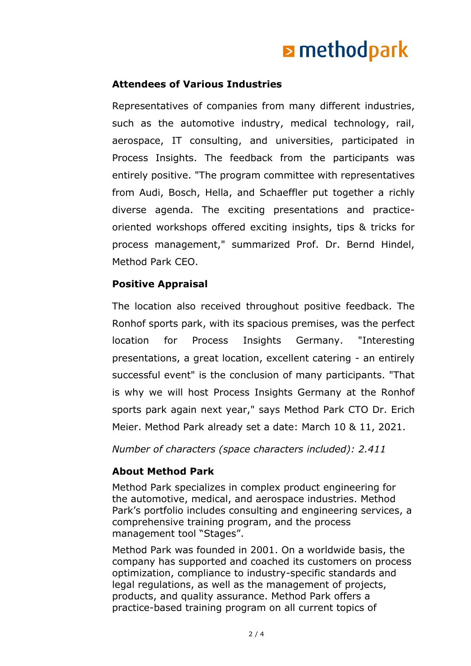# **E** methodpark

### **Attendees of Various Industries**

Representatives of companies from many different industries, such as the automotive industry, medical technology, rail, aerospace, IT consulting, and universities, participated in Process Insights. The feedback from the participants was entirely positive. "The program committee with representatives from Audi, Bosch, Hella, and Schaeffler put together a richly diverse agenda. The exciting presentations and practiceoriented workshops offered exciting insights, tips & tricks for process management," summarized Prof. Dr. Bernd Hindel, Method Park CEO.

### **Positive Appraisal**

The location also received throughout positive feedback. The Ronhof sports park, with its spacious premises, was the perfect location for Process Insights Germany. "Interesting presentations, a great location, excellent catering - an entirely successful event" is the conclusion of many participants. "That is why we will host Process Insights Germany at the Ronhof sports park again next year," says Method Park CTO Dr. Erich Meier. Method Park already set a date: March 10 & 11, 2021.

*Number of characters (space characters included): 2.411*

### **About Method Park**

Method Park specializes in complex product engineering for the automotive, medical, and aerospace industries. Method Park's portfolio includes consulting and engineering services, a comprehensive training program, and the process management tool "Stages".

Method Park was founded in 2001. On a worldwide basis, the company has supported and coached its customers on process optimization, compliance to industry-specific standards and legal regulations, as well as the management of projects, products, and quality assurance. Method Park offers a practice-based training program on all current topics of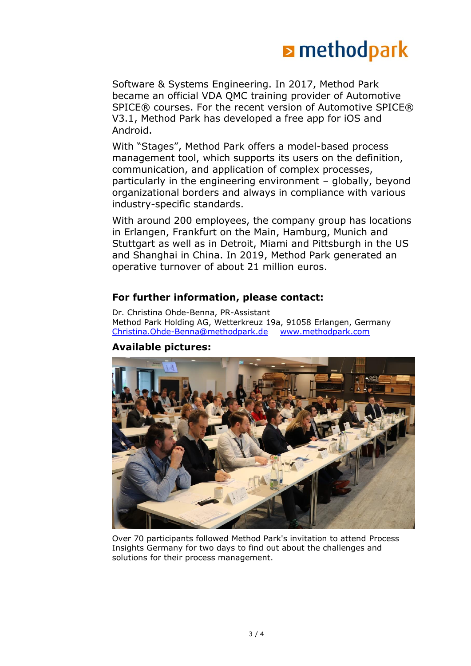

Software & Systems Engineering. In 2017, Method Park became an official VDA QMC training provider of Automotive SPICE® courses. For the recent version of Automotive SPICE® V3.1, Method Park has developed a free app for iOS and Android.

With "Stages", Method Park offers a model-based process management tool, which supports its users on the definition, communication, and application of complex processes, particularly in the engineering environment – globally, beyond organizational borders and always in compliance with various industry-specific standards.

With around 200 employees, the company group has locations in Erlangen, Frankfurt on the Main, Hamburg, Munich and Stuttgart as well as in Detroit, Miami and Pittsburgh in the US and Shanghai in China. In 2019, Method Park generated an operative turnover of about 21 million euros.

#### **For further information, please contact:**

Dr. Christina Ohde-Benna, PR-Assistant Method Park Holding AG, Wetterkreuz 19a, 91058 Erlangen, Germany [Christina.Ohde-Benna@methodpark.de](mailto:Christina.Ohde-Benna@methodpark.de) [www.methodpark.com](http://www.methodpark.com/)

#### **Available pictures:**



Over 70 participants followed Method Park's invitation to attend Process Insights Germany for two days to find out about the challenges and solutions for their process management.